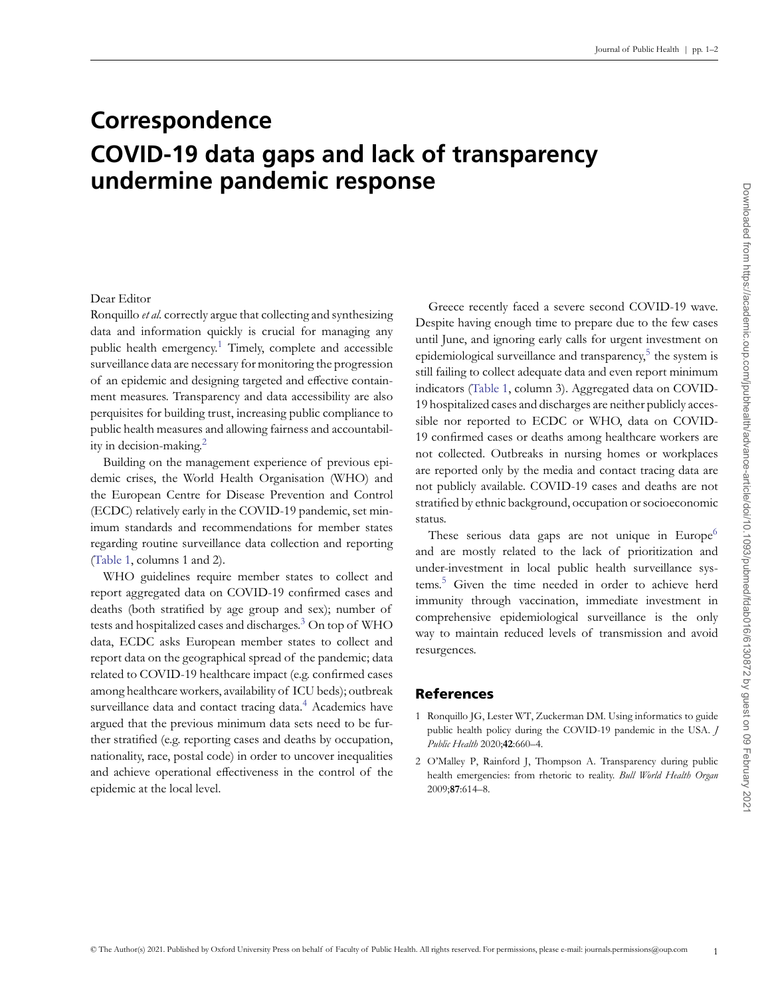## **Correspondence COVID-19 data gaps and lack of transparency undermine pandemic response**

## Dear Editor

Ronquillo *et al.* correctly argue that collecting and synthesizing data and information quickly is crucial for managing any public health emergency.<sup>[1](#page-0-0)</sup> Timely, complete and accessible surveillance data are necessary for monitoring the progression of an epidemic and designing targeted and effective containment measures. Transparency and data accessibility are also perquisites for building trust, increasing public compliance to public health measures and allowing fairness and accountability in decision-making.[2](#page-0-1)

Building on the management experience of previous epidemic crises, the World Health Organisation (WHO) and the European Centre for Disease Prevention and Control (ECDC) relatively early in the COVID-19 pandemic, set minimum standards and recommendations for member states regarding routine surveillance data collection and reporting [\(Table 1,](#page-1-0) columns 1 and 2).

WHO guidelines require member states to collect and report aggregated data on COVID-19 confirmed cases and deaths (both stratified by age group and sex); number of tests and hospitalized cases and discharges.<sup>[3](#page-1-1)</sup> On top of WHO data, ECDC asks European member states to collect and report data on the geographical spread of the pandemic; data related to COVID-19 healthcare impact (e.g. confirmed cases among healthcare workers, availability of ICU beds); outbreak surveillance data and contact tracing data.<sup>[4](#page-1-2)</sup> Academics have argued that the previous minimum data sets need to be further stratified (e.g. reporting cases and deaths by occupation, nationality, race, postal code) in order to uncover inequalities and achieve operational effectiveness in the control of the epidemic at the local level.

Greece recently faced a severe second COVID-19 wave. Despite having enough time to prepare due to the few cases until June, and ignoring early calls for urgent investment on epidemiological surveillance and transparency,<sup>[5](#page-1-3)</sup> the system is still failing to collect adequate data and even report minimum indicators [\(Table 1,](#page-1-0) column 3). Aggregated data on COVID-19 hospitalized cases and discharges are neither publicly accessible nor reported to ECDC or WHO, data on COVID-19 confirmed cases or deaths among healthcare workers are not collected. Outbreaks in nursing homes or workplaces are reported only by the media and contact tracing data are not publicly available. COVID-19 cases and deaths are not stratified by ethnic background, occupation or socioeconomic status.

These serious data gaps are not unique in Europe $<sup>6</sup>$  $<sup>6</sup>$  $<sup>6</sup>$ </sup> and are mostly related to the lack of prioritization and under-investment in local public health surveillance systems.[5](#page-1-3) Given the time needed in order to achieve herd immunity through vaccination, immediate investment in comprehensive epidemiological surveillance is the only way to maintain reduced levels of transmission and avoid resurgences.

## References

- <span id="page-0-0"></span>1 Ronquillo JG, Lester WT, Zuckerman DM. Using informatics to guide public health policy during the COVID-19 pandemic in the USA. *J Public Health* 2020;**42**:660–4.
- <span id="page-0-1"></span>2 O'Malley P, Rainford J, Thompson A. Transparency during public health emergencies: from rhetoric to reality. *Bull World Health Organ* 2009;**87**:614–8.